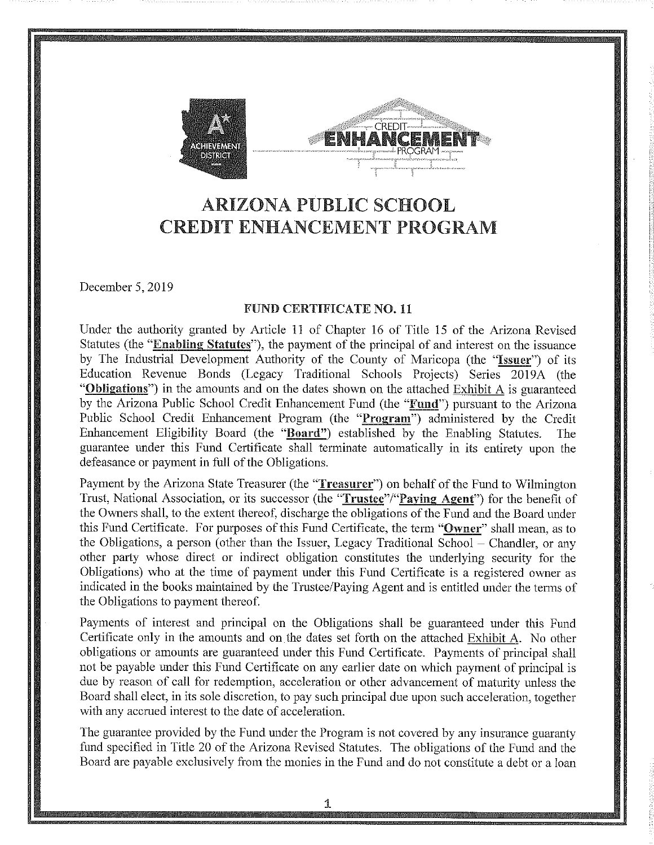



# **ARIZONA PUBLIC SCHOOL CREDIT ENHANCEMENT PROGRAM**

December 5, 2019

#### **FUND CERTIFICATE NO. 11**

Under the authority granted by Article 11 of Chapter 16 of Title 15 of the Arizona Revised Statutes (the "Enabling Statutes"), the payment of the principal of and interest on the issuance by The Industrial Development Authority of the County of Maricopa (the "Issuer") of its Education Revenue Bonds (Legacy Traditional Schools Projects) Series 2019A (the "Obligations") in the amounts and on the dates shown on the attached Exhibit A is guaranteed by the Arizona Public School Credit Enhancement Fund (the "Fund") pursuant to the Arizona Public School Credit Enhancement Program (the "Program") administered by the Credit Enhancement Eligibility Board (the "Board") established by the Enabling Statutes. The guarantee under this Fund Certificate shall terminate automatically in its entirety upon the defeasance or payment in full of the Obligations.

Payment by the Arizona State Treasurer (the "Treasurer") on behalf of the Fund to Wilmington Trust, National Association, or its successor (the "Trustee"/"Paying Agent") for the benefit of the Owners shall, to the extent thereof, discharge the obligations of the Fund and the Board under this Fund Certificate. For purposes of this Fund Certificate, the term "Owner" shall mean, as to the Obligations, a person (other than the Issuer, Legacy Traditional School – Chandler, or any other party whose direct or indirect obligation constitutes the underlying security for the Obligations) who at the time of payment under this Fund Certificate is a registered owner as indicated in the books maintained by the Trustee/Paying Agent and is entitled under the terms of the Obligations to payment thereof.

Payments of interest and principal on the Obligations shall be guaranteed under this Fund Certificate only in the amounts and on the dates set forth on the attached Exhibit A. No other obligations or amounts are guaranteed under this Fund Certificate. Payments of principal shall not be payable under this Fund Certificate on any earlier date on which payment of principal is due by reason of call for redemption, acceleration or other advancement of maturity unless the Board shall elect, in its sole discretion, to pay such principal due upon such acceleration, together with any accrued interest to the date of acceleration.

The guarantee provided by the Fund under the Program is not covered by any insurance guaranty fund specified in Title 20 of the Arizona Revised Statutes. The obligations of the Fund and the Board are payable exclusively from the monies in the Fund and do not constitute a debt or a loan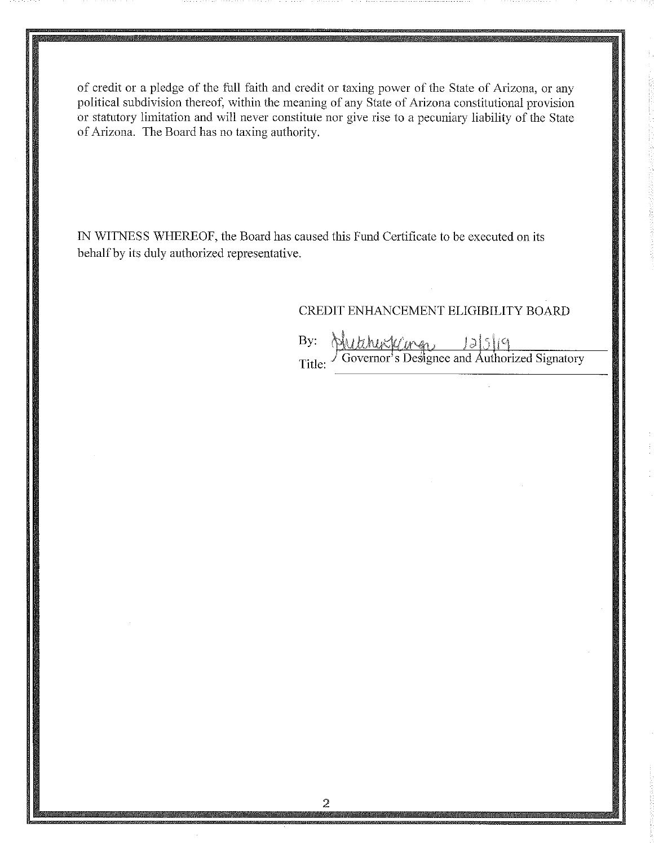of credit or a pledge of the full faith and credit or taxing power of the State of Arizona, or any political subdivision thereof, within the meaning of any State of Arizona constitutional provision or statutory limitation and will never constitute nor give rise to a pecuniary liability of the State of Arizona. The Board has no taxing authority.

IN WITNESS WHEREOF, the Board has caused this Fund Certificate to be executed on its behalf by its duly authorized representative.

#### CREDIT ENHANCEMENT ELIGIBILITY BOARD

By: Governor's Designee and Authorized Signatory Title: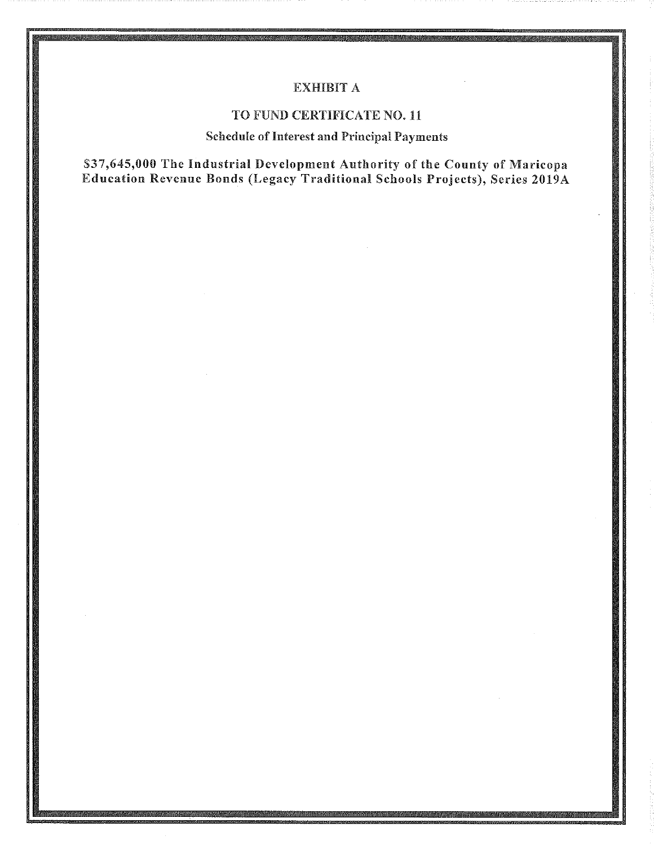#### **EXHIBIT A**

#### TO FUND CERTIFICATE NO. 11

#### **Schedule of Interest and Principal Payments**

\$37,645,000 The Industrial Development Authority of the County of Maricopa Education Revenue Bonds (Legacy Traditional Schools Projects), Series 2019A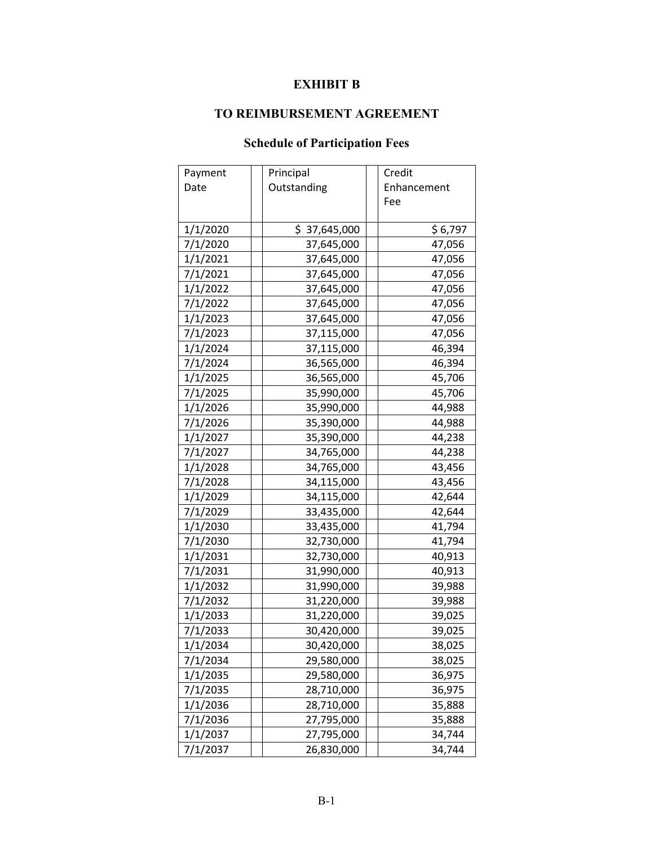### **EXHIBIT B**

### **TO REIMBURSEMENT AGREEMENT**

## **Schedule of Participation Fees**

| Payment  | Principal    | Credit      |
|----------|--------------|-------------|
| Date     | Outstanding  | Enhancement |
|          |              | Fee         |
|          |              |             |
| 1/1/2020 | \$37,645,000 | \$6,797     |
| 7/1/2020 | 37,645,000   | 47,056      |
| 1/1/2021 | 37,645,000   | 47,056      |
| 7/1/2021 | 37,645,000   | 47,056      |
| 1/1/2022 | 37,645,000   | 47,056      |
| 7/1/2022 | 37,645,000   | 47,056      |
| 1/1/2023 | 37,645,000   | 47,056      |
| 7/1/2023 | 37,115,000   | 47,056      |
| 1/1/2024 | 37,115,000   | 46,394      |
| 7/1/2024 | 36,565,000   | 46,394      |
| 1/1/2025 | 36,565,000   | 45,706      |
| 7/1/2025 | 35,990,000   | 45,706      |
| 1/1/2026 | 35,990,000   | 44,988      |
| 7/1/2026 | 35,390,000   | 44,988      |
| 1/1/2027 | 35,390,000   | 44,238      |
| 7/1/2027 | 34,765,000   | 44,238      |
| 1/1/2028 | 34,765,000   | 43,456      |
| 7/1/2028 | 34,115,000   | 43,456      |
| 1/1/2029 | 34,115,000   | 42,644      |
| 7/1/2029 | 33,435,000   | 42,644      |
| 1/1/2030 | 33,435,000   | 41,794      |
| 7/1/2030 | 32,730,000   | 41,794      |
| 1/1/2031 | 32,730,000   | 40,913      |
| 7/1/2031 | 31,990,000   | 40,913      |
| 1/1/2032 | 31,990,000   | 39,988      |
| 7/1/2032 | 31,220,000   | 39,988      |
| 1/1/2033 | 31,220,000   | 39,025      |
| 7/1/2033 | 30,420,000   | 39,025      |
| 1/1/2034 | 30,420,000   | 38,025      |
| 7/1/2034 | 29,580,000   | 38,025      |
| 1/1/2035 | 29,580,000   | 36,975      |
| 7/1/2035 | 28,710,000   | 36,975      |
| 1/1/2036 | 28,710,000   | 35,888      |
| 7/1/2036 | 27,795,000   | 35,888      |
| 1/1/2037 | 27,795,000   | 34,744      |
| 7/1/2037 | 26,830,000   | 34,744      |